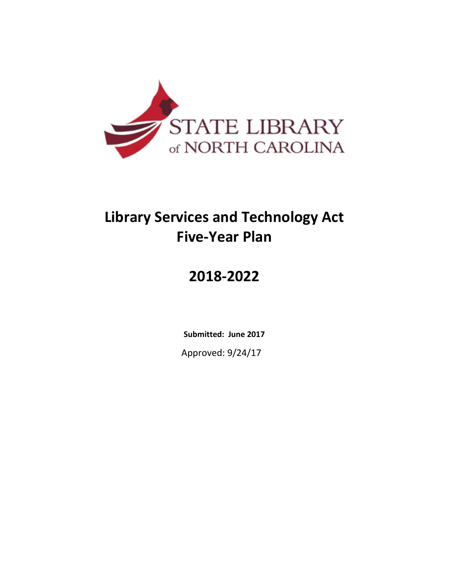

# **Library Services and Technology Act Five-Year Plan**

# **2018-2022**

**Submitted: June 2017** Approved: 9/24/17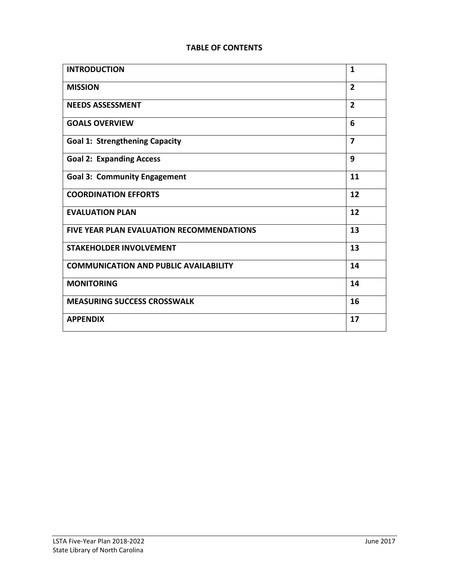#### **TABLE OF CONTENTS**

| <b>INTRODUCTION</b>                              | 1              |
|--------------------------------------------------|----------------|
| <b>MISSION</b>                                   | $\overline{2}$ |
| <b>NEEDS ASSESSMENT</b>                          | $\overline{2}$ |
| <b>GOALS OVERVIEW</b>                            | 6              |
| <b>Goal 1: Strengthening Capacity</b>            | $\overline{ }$ |
| <b>Goal 2: Expanding Access</b>                  | 9              |
| <b>Goal 3: Community Engagement</b>              | 11             |
| <b>COORDINATION EFFORTS</b>                      | 12             |
| <b>EVALUATION PLAN</b>                           | 12             |
| <b>FIVE YEAR PLAN EVALUATION RECOMMENDATIONS</b> | 13             |
| <b>STAKEHOLDER INVOLVEMENT</b>                   | 13             |
| <b>COMMUNICATION AND PUBLIC AVAILABILITY</b>     | 14             |
| <b>MONITORING</b>                                | 14             |
| <b>MEASURING SUCCESS CROSSWALK</b>               | 16             |
| <b>APPENDIX</b>                                  | 17             |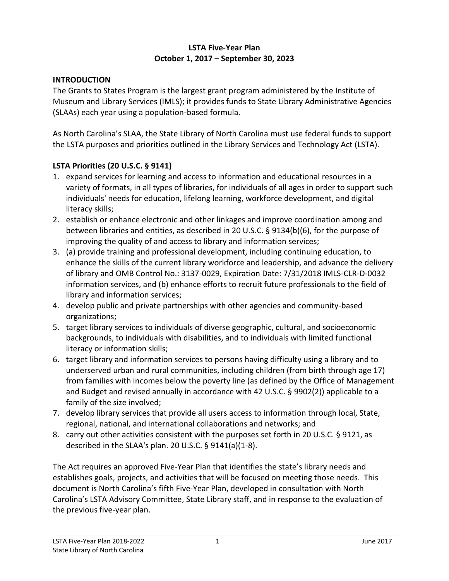#### **LSTA Five-Year Plan October 1, 2017 – September 30, 2023**

### **INTRODUCTION**

The Grants to States Program is the largest grant program administered by the Institute of Museum and Library Services (IMLS); it provides funds to State Library Administrative Agencies (SLAAs) each year using a population-based formula.

As North Carolina's SLAA, the State Library of North Carolina must use federal funds to support the LSTA purposes and priorities outlined in the Library Services and Technology Act (LSTA).

### **LSTA Priorities (20 U.S.C. § 9141)**

- 1. expand services for learning and access to information and educational resources in a variety of formats, in all types of libraries, for individuals of all ages in order to support such individuals' needs for education, lifelong learning, workforce development, and digital literacy skills;
- 2. establish or enhance electronic and other linkages and improve coordination among and between libraries and entities, as described in 20 U.S.C. § 9134(b)(6), for the purpose of improving the quality of and access to library and information services;
- 3. (a) provide training and professional development, including continuing education, to enhance the skills of the current library workforce and leadership, and advance the delivery of library and OMB Control No.: 3137-0029, Expiration Date: 7/31/2018 IMLS-CLR-D-0032 information services, and (b) enhance efforts to recruit future professionals to the field of library and information services;
- 4. develop public and private partnerships with other agencies and community-based organizations;
- 5. target library services to individuals of diverse geographic, cultural, and socioeconomic backgrounds, to individuals with disabilities, and to individuals with limited functional literacy or information skills;
- 6. target library and information services to persons having difficulty using a library and to underserved urban and rural communities, including children (from birth through age 17) from families with incomes below the poverty line (as defined by the Office of Management and Budget and revised annually in accordance with 42 U.S.C. § 9902(2)) applicable to a family of the size involved;
- 7. develop library services that provide all users access to information through local, State, regional, national, and international collaborations and networks; and
- 8. carry out other activities consistent with the purposes set forth in 20 U.S.C. § 9121, as described in the SLAA's plan. 20 U.S.C. § 9141(a)(1-8).

The Act requires an approved Five-Year Plan that identifies the state's library needs and establishes goals, projects, and activities that will be focused on meeting those needs. This document is North Carolina's fifth Five-Year Plan, developed in consultation with North Carolina's LSTA Advisory Committee, State Library staff, and in response to the evaluation of the previous five-year plan.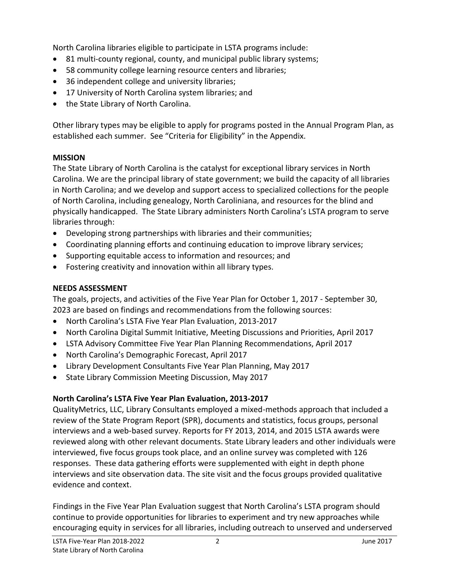North Carolina libraries eligible to participate in LSTA programs include:

- 81 multi-county regional, county, and municipal public library systems;
- 58 community college learning resource centers and libraries;
- 36 independent college and university libraries;
- 17 University of North Carolina system libraries; and
- the State Library of North Carolina.

Other library types may be eligible to apply for programs posted in the Annual Program Plan, as established each summer. See "Criteria for Eligibility" in the Appendix.

### **MISSION**

The State Library of North Carolina is the catalyst for exceptional library services in North Carolina. We are the principal library of state government; we build the capacity of all libraries in North Carolina; and we develop and support access to specialized collections for the people of North Carolina, including genealogy, North Caroliniana, and resources for the blind and physically handicapped. The State Library administers North Carolina's LSTA program to serve libraries through:

- Developing strong partnerships with libraries and their communities;
- Coordinating planning efforts and continuing education to improve library services;
- Supporting equitable access to information and resources; and
- Fostering creativity and innovation within all library types.

# **NEEDS ASSESSMENT**

The goals, projects, and activities of the Five Year Plan for October 1, 2017 - September 30, 2023 are based on findings and recommendations from the following sources:

- North Carolina's LSTA Five Year Plan Evaluation, 2013-2017
- North Carolina Digital Summit Initiative, Meeting Discussions and Priorities, April 2017
- LSTA Advisory Committee Five Year Plan Planning Recommendations, April 2017
- North Carolina's Demographic Forecast, April 2017
- Library Development Consultants Five Year Plan Planning, May 2017
- State Library Commission Meeting Discussion, May 2017

# **North Carolina's LSTA Five Year Plan Evaluation, 2013-2017**

QualityMetrics, LLC, Library Consultants employed a mixed-methods approach that included a review of the State Program Report (SPR), documents and statistics, focus groups, personal interviews and a web-based survey. Reports for FY 2013, 2014, and 2015 LSTA awards were reviewed along with other relevant documents. State Library leaders and other individuals were interviewed, five focus groups took place, and an online survey was completed with 126 responses.These data gathering efforts were supplemented with eight in depth phone interviews and site observation data. The site visit and the focus groups provided qualitative evidence and context.

Findings in the Five Year Plan Evaluation suggest that North Carolina's LSTA program should continue to provide opportunities for libraries to experiment and try new approaches while encouraging equity in services for all libraries, including outreach to unserved and underserved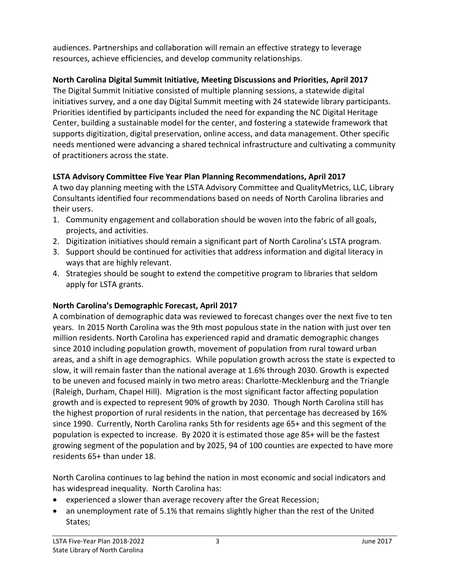audiences. Partnerships and collaboration will remain an effective strategy to leverage resources, achieve efficiencies, and develop community relationships.

# **North Carolina Digital Summit Initiative, Meeting Discussions and Priorities, April 2017**

The Digital Summit Initiative consisted of multiple planning sessions, a statewide digital initiatives survey, and a one day Digital Summit meeting with 24 statewide library participants. Priorities identified by participants included the need for expanding the NC Digital Heritage Center, building a sustainable model for the center, and fostering a statewide framework that supports digitization, digital preservation, online access, and data management. Other specific needs mentioned were advancing a shared technical infrastructure and cultivating a community of practitioners across the state.

# **LSTA Advisory Committee Five Year Plan Planning Recommendations, April 2017**

A two day planning meeting with the LSTA Advisory Committee and QualityMetrics, LLC, Library Consultants identified four recommendations based on needs of North Carolina libraries and their users.

- 1. Community engagement and collaboration should be woven into the fabric of all goals, projects, and activities.
- 2. Digitization initiatives should remain a significant part of North Carolina's LSTA program.
- 3. Support should be continued for activities that address information and digital literacy in ways that are highly relevant.
- 4. Strategies should be sought to extend the competitive program to libraries that seldom apply for LSTA grants.

# **North Carolina's Demographic Forecast, April 2017**

A combination of demographic data was reviewed to forecast changes over the next five to ten years. In 2015 North Carolina was the 9th most populous state in the nation with just over ten million residents. North Carolina has experienced rapid and dramatic demographic changes since 2010 including population growth, movement of population from rural toward urban areas, and a shift in age demographics. While population growth across the state is expected to slow, it will remain faster than the national average at 1.6% through 2030. Growth is expected to be uneven and focused mainly in two metro areas: Charlotte-Mecklenburg and the Triangle (Raleigh, Durham, Chapel Hill). Migration is the most significant factor affecting population growth and is expected to represent 90% of growth by 2030. Though North Carolina still has the highest proportion of rural residents in the nation, that percentage has decreased by 16% since 1990. Currently, North Carolina ranks 5th for residents age 65+ and this segment of the population is expected to increase. By 2020 it is estimated those age 85+ will be the fastest growing segment of the population and by 2025, 94 of 100 counties are expected to have more residents 65+ than under 18.

North Carolina continues to lag behind the nation in most economic and social indicators and has widespread inequality. North Carolina has:

- experienced a slower than average recovery after the Great Recession;
- an unemployment rate of 5.1% that remains slightly higher than the rest of the United States;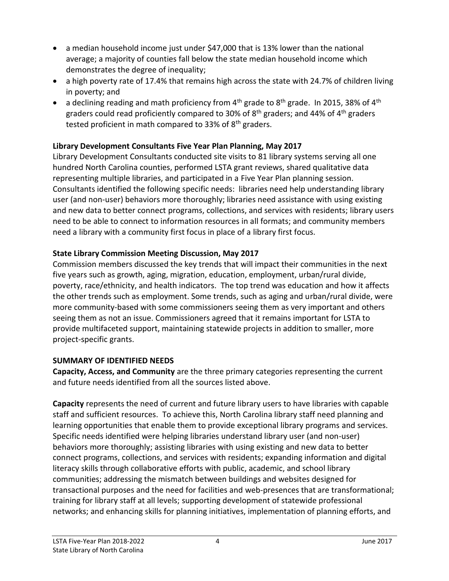- a median household income just under \$47,000 that is 13% lower than the national average; a majority of counties fall below the state median household income which demonstrates the degree of inequality;
- a high poverty rate of 17.4% that remains high across the state with 24.7% of children living in poverty; and
- a declining reading and math proficiency from  $4<sup>th</sup>$  grade to  $8<sup>th</sup>$  grade. In 2015, 38% of  $4<sup>th</sup>$ graders could read proficiently compared to 30% of  $8<sup>th</sup>$  graders; and 44% of 4<sup>th</sup> graders tested proficient in math compared to 33% of  $8<sup>th</sup>$  graders.

# **Library Development Consultants Five Year Plan Planning, May 2017**

Library Development Consultants conducted site visits to 81 library systems serving all one hundred North Carolina counties, performed LSTA grant reviews, shared qualitative data representing multiple libraries, and participated in a Five Year Plan planning session. Consultants identified the following specific needs: libraries need help understanding library user (and non-user) behaviors more thoroughly; libraries need assistance with using existing and new data to better connect programs, collections, and services with residents; library users need to be able to connect to information resources in all formats; and community members need a library with a community first focus in place of a library first focus.

## **State Library Commission Meeting Discussion, May 2017**

Commission members discussed the key trends that will impact their communities in the next five years such as growth, aging, migration, education, employment, urban/rural divide, poverty, race/ethnicity, and health indicators. The top trend was education and how it affects the other trends such as employment. Some trends, such as aging and urban/rural divide, were more community-based with some commissioners seeing them as very important and others seeing them as not an issue. Commissioners agreed that it remains important for LSTA to provide multifaceted support, maintaining statewide projects in addition to smaller, more project-specific grants.

# **SUMMARY OF IDENTIFIED NEEDS**

**Capacity, Access, and Community** are the three primary categories representing the current and future needs identified from all the sources listed above.

**Capacity** represents the need of current and future library users to have libraries with capable staff and sufficient resources. To achieve this, North Carolina library staff need planning and learning opportunities that enable them to provide exceptional library programs and services. Specific needs identified were helping libraries understand library user (and non-user) behaviors more thoroughly; assisting libraries with using existing and new data to better connect programs, collections, and services with residents; expanding information and digital literacy skills through collaborative efforts with public, academic, and school library communities; addressing the mismatch between buildings and websites designed for transactional purposes and the need for facilities and web-presences that are transformational; training for library staff at all levels; supporting development of statewide professional networks; and enhancing skills for planning initiatives, implementation of planning efforts, and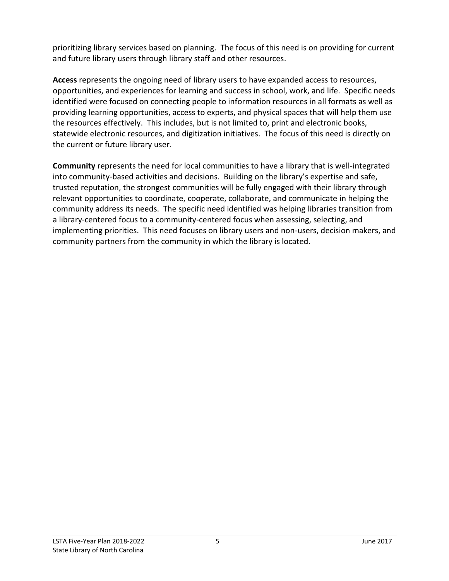prioritizing library services based on planning. The focus of this need is on providing for current and future library users through library staff and other resources.

**Access** represents the ongoing need of library users to have expanded access to resources, opportunities, and experiences for learning and success in school, work, and life. Specific needs identified were focused on connecting people to information resources in all formats as well as providing learning opportunities, access to experts, and physical spaces that will help them use the resources effectively. This includes, but is not limited to, print and electronic books, statewide electronic resources, and digitization initiatives. The focus of this need is directly on the current or future library user.

**Community** represents the need for local communities to have a library that is well-integrated into community-based activities and decisions. Building on the library's expertise and safe, trusted reputation, the strongest communities will be fully engaged with their library through relevant opportunities to coordinate, cooperate, collaborate, and communicate in helping the community address its needs. The specific need identified was helping libraries transition from a library-centered focus to a community-centered focus when assessing, selecting, and implementing priorities. This need focuses on library users and non-users, decision makers, and community partners from the community in which the library is located.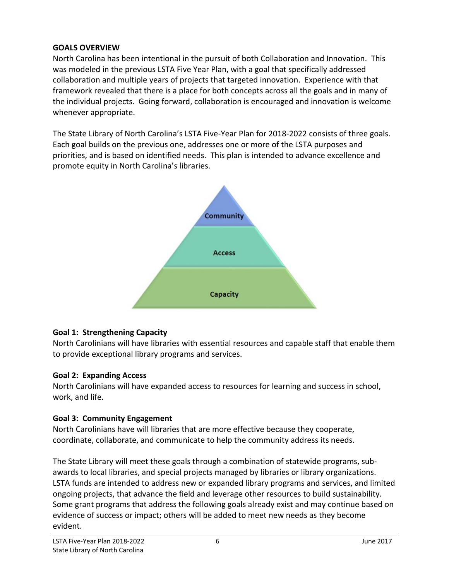#### **GOALS OVERVIEW**

North Carolina has been intentional in the pursuit of both Collaboration and Innovation. This was modeled in the previous LSTA Five Year Plan, with a goal that specifically addressed collaboration and multiple years of projects that targeted innovation. Experience with that framework revealed that there is a place for both concepts across all the goals and in many of the individual projects. Going forward, collaboration is encouraged and innovation is welcome whenever appropriate.

The State Library of North Carolina's LSTA Five-Year Plan for 2018-2022 consists of three goals. Each goal builds on the previous one, addresses one or more of the LSTA purposes and priorities, and is based on identified needs. This plan is intended to advance excellence and promote equity in North Carolina's libraries.



#### **Goal 1: Strengthening Capacity**

North Carolinians will have libraries with essential resources and capable staff that enable them to provide exceptional library programs and services.

#### **Goal 2: Expanding Access**

North Carolinians will have expanded access to resources for learning and success in school, work, and life.

### **Goal 3: Community Engagement**

North Carolinians have will libraries that are more effective because they cooperate, coordinate, collaborate, and communicate to help the community address its needs.

The State Library will meet these goals through a combination of statewide programs, subawards to local libraries, and special projects managed by libraries or library organizations. LSTA funds are intended to address new or expanded library programs and services, and limited ongoing projects, that advance the field and leverage other resources to build sustainability. Some grant programs that address the following goals already exist and may continue based on evidence of success or impact; others will be added to meet new needs as they become evident.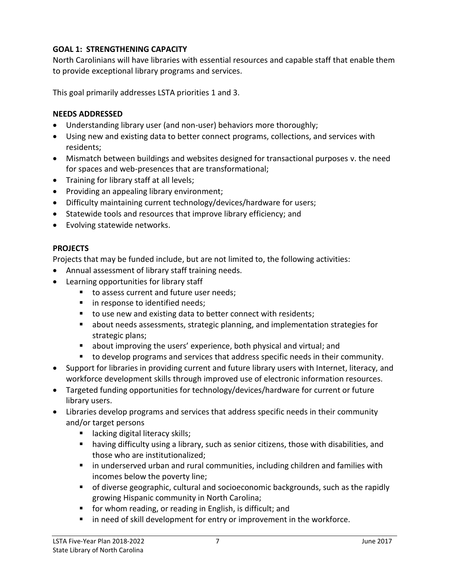#### **GOAL 1: STRENGTHENING CAPACITY**

North Carolinians will have libraries with essential resources and capable staff that enable them to provide exceptional library programs and services.

This goal primarily addresses LSTA priorities 1 and 3.

#### **NEEDS ADDRESSED**

- Understanding library user (and non-user) behaviors more thoroughly;
- Using new and existing data to better connect programs, collections, and services with residents;
- Mismatch between buildings and websites designed for transactional purposes v. the need for spaces and web-presences that are transformational;
- Training for library staff at all levels;
- Providing an appealing library environment;
- Difficulty maintaining current technology/devices/hardware for users;
- Statewide tools and resources that improve library efficiency; and
- Evolving statewide networks.

#### **PROJECTS**

Projects that may be funded include, but are not limited to, the following activities:

- Annual assessment of library staff training needs.
- Learning opportunities for library staff
	- to assess current and future user needs;
	- **in response to identified needs;**
	- to use new and existing data to better connect with residents;
	- about needs assessments, strategic planning, and implementation strategies for strategic plans;
	- about improving the users' experience, both physical and virtual; and
	- to develop programs and services that address specific needs in their community.
- Support for libraries in providing current and future library users with Internet, literacy, and workforce development skills through improved use of electronic information resources.
- Targeted funding opportunities for technology/devices/hardware for current or future library users.
- Libraries develop programs and services that address specific needs in their community and/or target persons
	- **Example 1** lacking digital literacy skills;
	- having difficulty using a library, such as senior citizens, those with disabilities, and those who are institutionalized;
	- in underserved urban and rural communities, including children and families with incomes below the poverty line;
	- of diverse geographic, cultural and socioeconomic backgrounds, such as the rapidly growing Hispanic community in North Carolina;
	- **fi** for whom reading, or reading in English, is difficult; and
	- **IF** in need of skill development for entry or improvement in the workforce.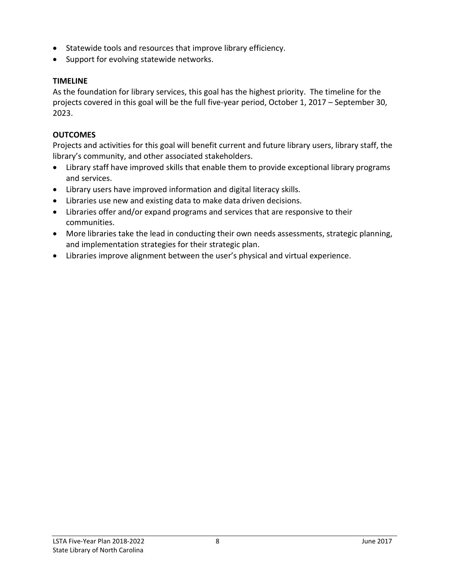- Statewide tools and resources that improve library efficiency.
- Support for evolving statewide networks.

#### **TIMELINE**

As the foundation for library services, this goal has the highest priority. The timeline for the projects covered in this goal will be the full five-year period, October 1, 2017 – September 30, 2023.

#### **OUTCOMES**

Projects and activities for this goal will benefit current and future library users, library staff, the library's community, and other associated stakeholders.

- Library staff have improved skills that enable them to provide exceptional library programs and services.
- Library users have improved information and digital literacy skills.
- Libraries use new and existing data to make data driven decisions.
- Libraries offer and/or expand programs and services that are responsive to their communities.
- More libraries take the lead in conducting their own needs assessments, strategic planning, and implementation strategies for their strategic plan.
- Libraries improve alignment between the user's physical and virtual experience.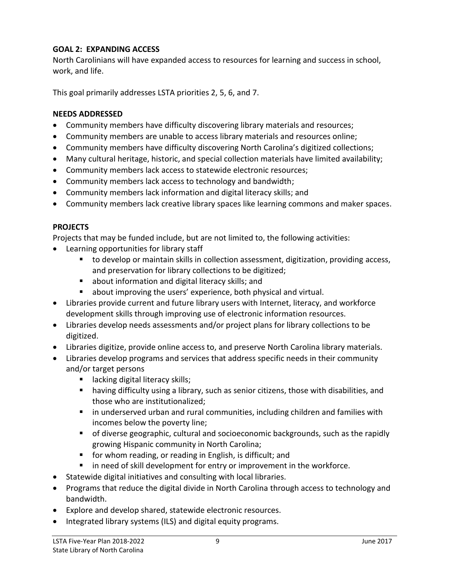#### **GOAL 2: EXPANDING ACCESS**

North Carolinians will have expanded access to resources for learning and success in school, work, and life.

This goal primarily addresses LSTA priorities 2, 5, 6, and 7.

#### **NEEDS ADDRESSED**

- Community members have difficulty discovering library materials and resources;
- Community members are unable to access library materials and resources online;
- Community members have difficulty discovering North Carolina's digitized collections;
- Many cultural heritage, historic, and special collection materials have limited availability;
- Community members lack access to statewide electronic resources;
- Community members lack access to technology and bandwidth;
- Community members lack information and digital literacy skills; and
- Community members lack creative library spaces like learning commons and maker spaces.

#### **PROJECTS**

Projects that may be funded include, but are not limited to, the following activities:

- Learning opportunities for library staff
	- to develop or maintain skills in collection assessment, digitization, providing access, and preservation for library collections to be digitized;
	- about information and digital literacy skills; and
	- about improving the users' experience, both physical and virtual.
- Libraries provide current and future library users with Internet, literacy, and workforce development skills through improving use of electronic information resources.
- Libraries develop needs assessments and/or project plans for library collections to be digitized.
- Libraries digitize, provide online access to, and preserve North Carolina library materials.
- Libraries develop programs and services that address specific needs in their community and/or target persons
	- **If** lacking digital literacy skills;
	- having difficulty using a library, such as senior citizens, those with disabilities, and those who are institutionalized;
	- in underserved urban and rural communities, including children and families with incomes below the poverty line;
	- of diverse geographic, cultural and socioeconomic backgrounds, such as the rapidly growing Hispanic community in North Carolina;
	- **fi** for whom reading, or reading in English, is difficult; and
	- in need of skill development for entry or improvement in the workforce.
- Statewide digital initiatives and consulting with local libraries.
- Programs that reduce the digital divide in North Carolina through access to technology and bandwidth.
- Explore and develop shared, statewide electronic resources.
- Integrated library systems (ILS) and digital equity programs.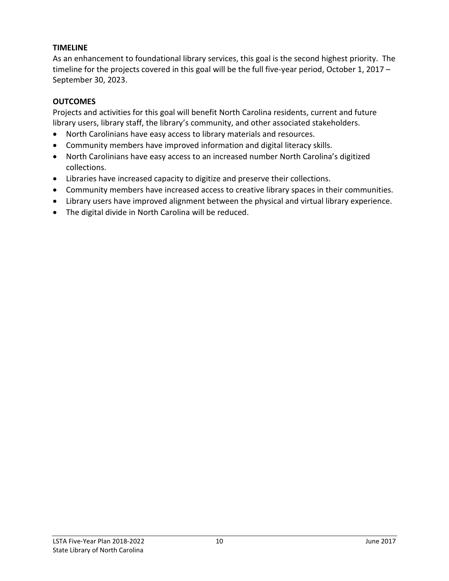#### **TIMELINE**

As an enhancement to foundational library services, this goal is the second highest priority. The timeline for the projects covered in this goal will be the full five-year period, October 1, 2017 – September 30, 2023.

#### **OUTCOMES**

Projects and activities for this goal will benefit North Carolina residents, current and future library users, library staff, the library's community, and other associated stakeholders.

- North Carolinians have easy access to library materials and resources.
- Community members have improved information and digital literacy skills.
- North Carolinians have easy access to an increased number North Carolina's digitized collections.
- Libraries have increased capacity to digitize and preserve their collections.
- Community members have increased access to creative library spaces in their communities.
- Library users have improved alignment between the physical and virtual library experience.
- The digital divide in North Carolina will be reduced.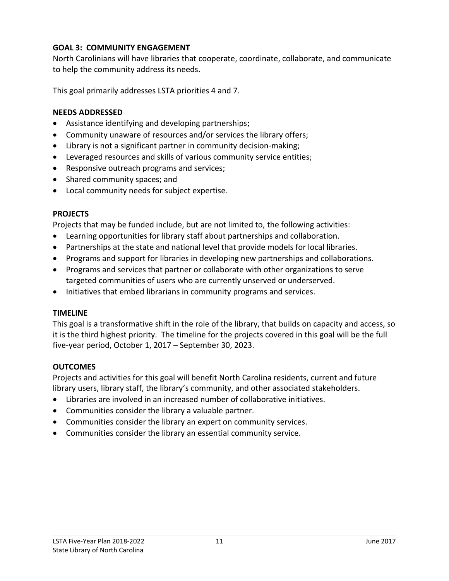### **GOAL 3: COMMUNITY ENGAGEMENT**

North Carolinians will have libraries that cooperate, coordinate, collaborate, and communicate to help the community address its needs.

This goal primarily addresses LSTA priorities 4 and 7.

#### **NEEDS ADDRESSED**

- Assistance identifying and developing partnerships;
- Community unaware of resources and/or services the library offers;
- Library is not a significant partner in community decision-making;
- Leveraged resources and skills of various community service entities;
- Responsive outreach programs and services;
- Shared community spaces; and
- Local community needs for subject expertise.

#### **PROJECTS**

Projects that may be funded include, but are not limited to, the following activities:

- Learning opportunities for library staff about partnerships and collaboration.
- Partnerships at the state and national level that provide models for local libraries.
- Programs and support for libraries in developing new partnerships and collaborations.
- Programs and services that partner or collaborate with other organizations to serve targeted communities of users who are currently unserved or underserved.
- Initiatives that embed librarians in community programs and services.

#### **TIMELINE**

This goal is a transformative shift in the role of the library, that builds on capacity and access, so it is the third highest priority. The timeline for the projects covered in this goal will be the full five-year period, October 1, 2017 – September 30, 2023.

### **OUTCOMES**

Projects and activities for this goal will benefit North Carolina residents, current and future library users, library staff, the library's community, and other associated stakeholders.

- Libraries are involved in an increased number of collaborative initiatives.
- Communities consider the library a valuable partner.
- Communities consider the library an expert on community services.
- Communities consider the library an essential community service.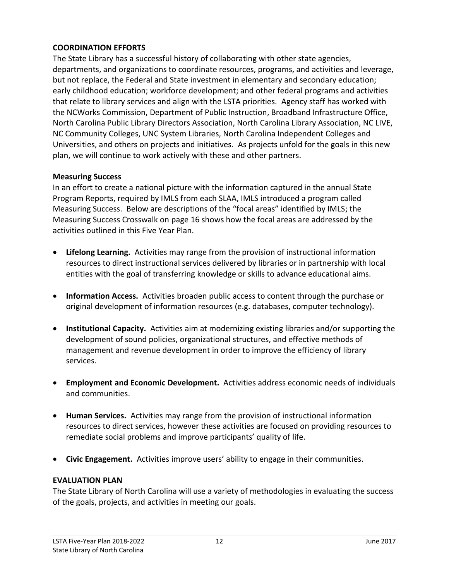#### **COORDINATION EFFORTS**

The State Library has a successful history of collaborating with other state agencies, departments, and organizations to coordinate resources, programs, and activities and leverage, but not replace, the Federal and State investment in elementary and secondary education; early childhood education; workforce development; and other federal programs and activities that relate to library services and align with the LSTA priorities. Agency staff has worked with the NCWorks Commission, Department of Public Instruction, Broadband Infrastructure Office, North Carolina Public Library Directors Association, North Carolina Library Association, NC LIVE, NC Community Colleges, UNC System Libraries, North Carolina Independent Colleges and Universities, and others on projects and initiatives. As projects unfold for the goals in this new plan, we will continue to work actively with these and other partners.

#### **Measuring Success**

In an effort to create a national picture with the information captured in the annual State Program Reports, required by IMLS from each SLAA, IMLS introduced a program called Measuring Success. Below are descriptions of the "focal areas" identified by IMLS; the Measuring Success Crosswalk on page 16 shows how the focal areas are addressed by the activities outlined in this Five Year Plan.

- **Lifelong Learning.** Activities may range from the provision of instructional information resources to direct instructional services delivered by libraries or in partnership with local entities with the goal of transferring knowledge or skills to advance educational aims.
- **Information Access.** Activities broaden public access to content through the purchase or original development of information resources (e.g. databases, computer technology).
- **Institutional Capacity.** Activities aim at modernizing existing libraries and/or supporting the development of sound policies, organizational structures, and effective methods of management and revenue development in order to improve the efficiency of library services.
- **Employment and Economic Development.** Activities address economic needs of individuals and communities.
- **Human Services.** Activities may range from the provision of instructional information resources to direct services, however these activities are focused on providing resources to remediate social problems and improve participants' quality of life.
- **Civic Engagement.** Activities improve users' ability to engage in their communities.

#### **EVALUATION PLAN**

The State Library of North Carolina will use a variety of methodologies in evaluating the success of the goals, projects, and activities in meeting our goals.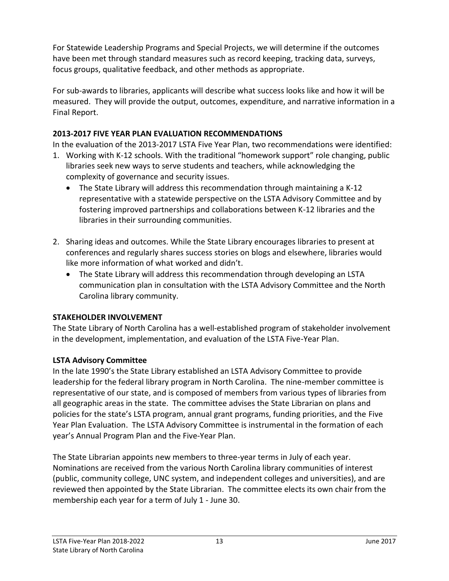For Statewide Leadership Programs and Special Projects, we will determine if the outcomes have been met through standard measures such as record keeping, tracking data, surveys, focus groups, qualitative feedback, and other methods as appropriate.

For sub-awards to libraries, applicants will describe what success looks like and how it will be measured. They will provide the output, outcomes, expenditure, and narrative information in a Final Report.

# **2013-2017 FIVE YEAR PLAN EVALUATION RECOMMENDATIONS**

In the evaluation of the 2013-2017 LSTA Five Year Plan, two recommendations were identified:

- 1. Working with K-12 schools. With the traditional "homework support" role changing, public libraries seek new ways to serve students and teachers, while acknowledging the complexity of governance and security issues.
	- The State Library will address this recommendation through maintaining a K-12 representative with a statewide perspective on the LSTA Advisory Committee and by fostering improved partnerships and collaborations between K-12 libraries and the libraries in their surrounding communities.
- 2. Sharing ideas and outcomes. While the State Library encourages libraries to present at conferences and regularly shares success stories on blogs and elsewhere, libraries would like more information of what worked and didn't.
	- The State Library will address this recommendation through developing an LSTA communication plan in consultation with the LSTA Advisory Committee and the North Carolina library community.

### **STAKEHOLDER INVOLVEMENT**

The State Library of North Carolina has a well-established program of stakeholder involvement in the development, implementation, and evaluation of the LSTA Five-Year Plan.

# **LSTA Advisory Committee**

In the late 1990's the State Library established an LSTA Advisory Committee to provide leadership for the federal library program in North Carolina. The nine-member committee is representative of our state, and is composed of members from various types of libraries from all geographic areas in the state. The committee advises the State Librarian on plans and policies for the state's LSTA program, annual grant programs, funding priorities, and the Five Year Plan Evaluation. The LSTA Advisory Committee is instrumental in the formation of each year's Annual Program Plan and the Five-Year Plan.

The State Librarian appoints new members to three-year terms in July of each year. Nominations are received from the various North Carolina library communities of interest (public, community college, UNC system, and independent colleges and universities), and are reviewed then appointed by the State Librarian. The committee elects its own chair from the membership each year for a term of July 1 - June 30.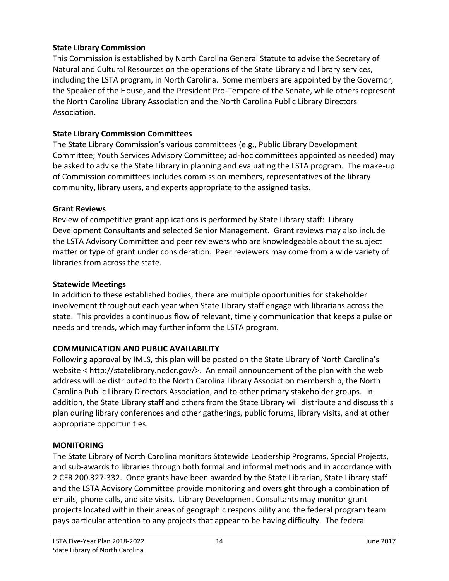#### **State Library Commission**

This Commission is established by North Carolina General Statute to advise the Secretary of Natural and Cultural Resources on the operations of the State Library and library services, including the LSTA program, in North Carolina. Some members are appointed by the Governor, the Speaker of the House, and the President Pro-Tempore of the Senate, while others represent the North Carolina Library Association and the North Carolina Public Library Directors Association.

#### **State Library Commission Committees**

The State Library Commission's various committees (e.g., Public Library Development Committee; Youth Services Advisory Committee; ad-hoc committees appointed as needed) may be asked to advise the State Library in planning and evaluating the LSTA program. The make-up of Commission committees includes commission members, representatives of the library community, library users, and experts appropriate to the assigned tasks.

#### **Grant Reviews**

Review of competitive grant applications is performed by State Library staff: Library Development Consultants and selected Senior Management. Grant reviews may also include the LSTA Advisory Committee and peer reviewers who are knowledgeable about the subject matter or type of grant under consideration. Peer reviewers may come from a wide variety of libraries from across the state.

#### **Statewide Meetings**

In addition to these established bodies, there are multiple opportunities for stakeholder involvement throughout each year when State Library staff engage with librarians across the state. This provides a continuous flow of relevant, timely communication that keeps a pulse on needs and trends, which may further inform the LSTA program.

### **COMMUNICATION AND PUBLIC AVAILABILITY**

Following approval by IMLS, this plan will be posted on the State Library of North Carolina's website < http://statelibrary.ncdcr.gov/>. An email announcement of the plan with the web address will be distributed to the North Carolina Library Association membership, the North Carolina Public Library Directors Association, and to other primary stakeholder groups. In addition, the State Library staff and others from the State Library will distribute and discuss this plan during library conferences and other gatherings, public forums, library visits, and at other appropriate opportunities.

### **MONITORING**

The State Library of North Carolina monitors Statewide Leadership Programs, Special Projects, and sub-awards to libraries through both formal and informal methods and in accordance with 2 CFR 200.327-332. Once grants have been awarded by the State Librarian, State Library staff and the LSTA Advisory Committee provide monitoring and oversight through a combination of emails, phone calls, and site visits. Library Development Consultants may monitor grant projects located within their areas of geographic responsibility and the federal program team pays particular attention to any projects that appear to be having difficulty. The federal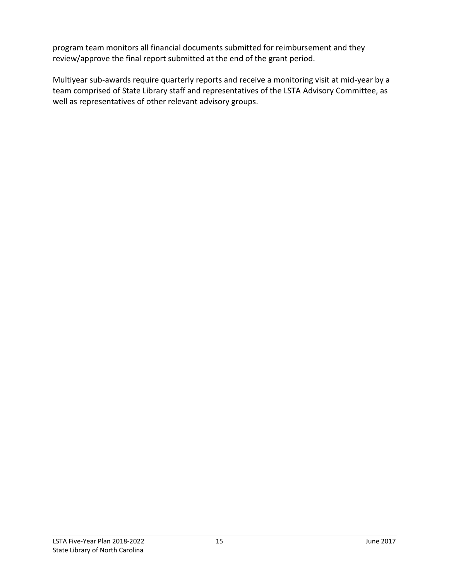program team monitors all financial documents submitted for reimbursement and they review/approve the final report submitted at the end of the grant period.

Multiyear sub-awards require quarterly reports and receive a monitoring visit at mid-year by a team comprised of State Library staff and representatives of the LSTA Advisory Committee, as well as representatives of other relevant advisory groups.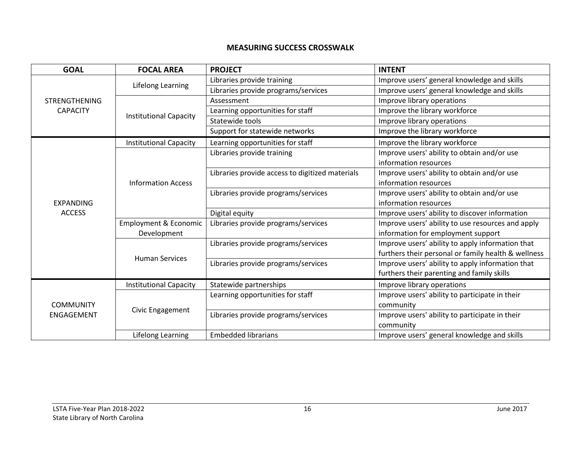#### **MEASURING SUCCESS CROSSWALK**

| <b>GOAL</b>                             | <b>FOCAL AREA</b>                | <b>PROJECT</b>                                  | <b>INTENT</b>                                       |
|-----------------------------------------|----------------------------------|-------------------------------------------------|-----------------------------------------------------|
| <b>STRENGTHENING</b><br><b>CAPACITY</b> | <b>Lifelong Learning</b>         | Libraries provide training                      | Improve users' general knowledge and skills         |
|                                         |                                  | Libraries provide programs/services             | Improve users' general knowledge and skills         |
|                                         | <b>Institutional Capacity</b>    | Assessment                                      | Improve library operations                          |
|                                         |                                  | Learning opportunities for staff                | Improve the library workforce                       |
|                                         |                                  | Statewide tools                                 | Improve library operations                          |
|                                         |                                  | Support for statewide networks                  | Improve the library workforce                       |
| <b>EXPANDING</b><br><b>ACCESS</b>       | <b>Institutional Capacity</b>    | Learning opportunities for staff                | Improve the library workforce                       |
|                                         | <b>Information Access</b>        | Libraries provide training                      | Improve users' ability to obtain and/or use         |
|                                         |                                  |                                                 | information resources                               |
|                                         |                                  | Libraries provide access to digitized materials | Improve users' ability to obtain and/or use         |
|                                         |                                  |                                                 | information resources                               |
|                                         |                                  | Libraries provide programs/services             | Improve users' ability to obtain and/or use         |
|                                         |                                  |                                                 | information resources                               |
|                                         |                                  | Digital equity                                  | Improve users' ability to discover information      |
|                                         | <b>Employment &amp; Economic</b> | Libraries provide programs/services             | Improve users' ability to use resources and apply   |
|                                         | Development                      |                                                 | information for employment support                  |
|                                         | <b>Human Services</b>            | Libraries provide programs/services             | Improve users' ability to apply information that    |
|                                         |                                  |                                                 | furthers their personal or family health & wellness |
|                                         |                                  | Libraries provide programs/services             | Improve users' ability to apply information that    |
|                                         |                                  |                                                 | furthers their parenting and family skills          |
| <b>COMMUNITY</b><br><b>ENGAGEMENT</b>   | <b>Institutional Capacity</b>    | Statewide partnerships                          | Improve library operations                          |
|                                         | Civic Engagement                 | Learning opportunities for staff                | Improve users' ability to participate in their      |
|                                         |                                  |                                                 | community                                           |
|                                         |                                  | Libraries provide programs/services             | Improve users' ability to participate in their      |
|                                         |                                  |                                                 | community                                           |
|                                         | Lifelong Learning                | <b>Embedded librarians</b>                      | Improve users' general knowledge and skills         |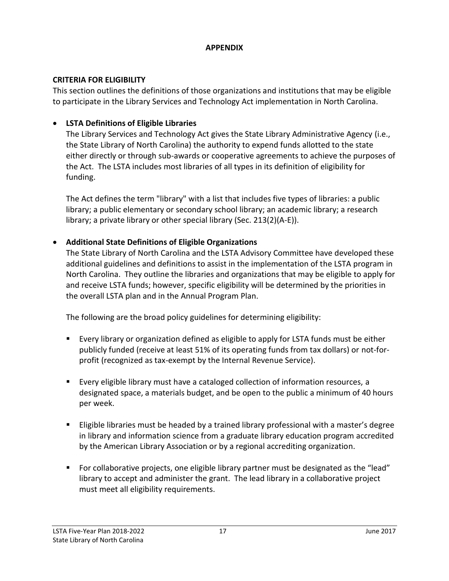#### **APPENDIX**

### **CRITERIA FOR ELIGIBILITY**

This section outlines the definitions of those organizations and institutions that may be eligible to participate in the Library Services and Technology Act implementation in North Carolina.

# **LSTA Definitions of Eligible Libraries**

The Library Services and Technology Act gives the State Library Administrative Agency (i.e., the State Library of North Carolina) the authority to expend funds allotted to the state either directly or through sub-awards or cooperative agreements to achieve the purposes of the Act. The LSTA includes most libraries of all types in its definition of eligibility for funding.

The Act defines the term "library" with a list that includes five types of libraries: a public library; a public elementary or secondary school library; an academic library; a research library; a private library or other special library (Sec. 213(2)(A-E)).

# **Additional State Definitions of Eligible Organizations**

The State Library of North Carolina and the LSTA Advisory Committee have developed these additional guidelines and definitions to assist in the implementation of the LSTA program in North Carolina. They outline the libraries and organizations that may be eligible to apply for and receive LSTA funds; however, specific eligibility will be determined by the priorities in the overall LSTA plan and in the Annual Program Plan.

The following are the broad policy guidelines for determining eligibility:

- Every library or organization defined as eligible to apply for LSTA funds must be either publicly funded (receive at least 51% of its operating funds from tax dollars) or not-forprofit (recognized as tax-exempt by the Internal Revenue Service).
- Every eligible library must have a cataloged collection of information resources, a designated space, a materials budget, and be open to the public a minimum of 40 hours per week.
- Eligible libraries must be headed by a trained library professional with a master's degree in library and information science from a graduate library education program accredited by the American Library Association or by a regional accrediting organization.
- For collaborative projects, one eligible library partner must be designated as the "lead" library to accept and administer the grant. The lead library in a collaborative project must meet all eligibility requirements.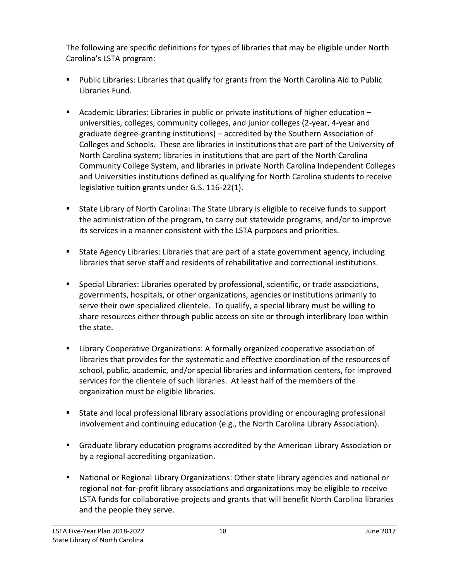The following are specific definitions for types of libraries that may be eligible under North Carolina's LSTA program:

- **Public Libraries: Libraries that qualify for grants from the North Carolina Aid to Public** Libraries Fund.
- Academic Libraries: Libraries in public or private institutions of higher education universities, colleges, community colleges, and junior colleges (2-year, 4-year and graduate degree-granting institutions) – accredited by the Southern Association of Colleges and Schools. These are libraries in institutions that are part of the University of North Carolina system; libraries in institutions that are part of the North Carolina Community College System, and libraries in private North Carolina Independent Colleges and Universities institutions defined as qualifying for North Carolina students to receive legislative tuition grants under G.S. 116-22(1).
- State Library of North Carolina: The State Library is eligible to receive funds to support the administration of the program, to carry out statewide programs, and/or to improve its services in a manner consistent with the LSTA purposes and priorities.
- State Agency Libraries: Libraries that are part of a state government agency, including libraries that serve staff and residents of rehabilitative and correctional institutions.
- Special Libraries: Libraries operated by professional, scientific, or trade associations, governments, hospitals, or other organizations, agencies or institutions primarily to serve their own specialized clientele. To qualify, a special library must be willing to share resources either through public access on site or through interlibrary loan within the state.
- Library Cooperative Organizations: A formally organized cooperative association of libraries that provides for the systematic and effective coordination of the resources of school, public, academic, and/or special libraries and information centers, for improved services for the clientele of such libraries. At least half of the members of the organization must be eligible libraries.
- State and local professional library associations providing or encouraging professional involvement and continuing education (e.g., the North Carolina Library Association).
- Graduate library education programs accredited by the American Library Association or by a regional accrediting organization.
- National or Regional Library Organizations: Other state library agencies and national or regional not-for-profit library associations and organizations may be eligible to receive LSTA funds for collaborative projects and grants that will benefit North Carolina libraries and the people they serve.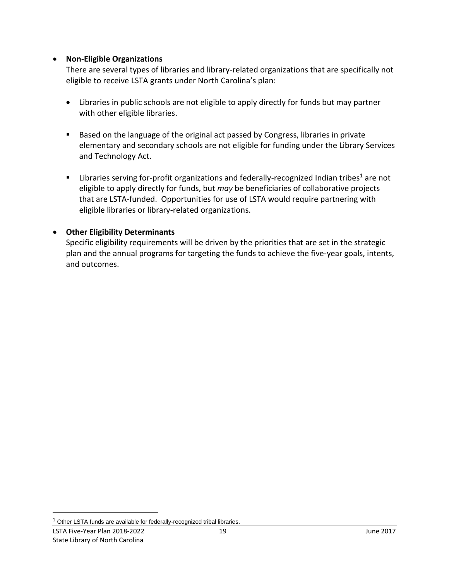#### **Non-Eligible Organizations**

There are several types of libraries and library-related organizations that are specifically not eligible to receive LSTA grants under North Carolina's plan:

- Libraries in public schools are not eligible to apply directly for funds but may partner with other eligible libraries.
- Based on the language of the original act passed by Congress, libraries in private elementary and secondary schools are not eligible for funding under the Library Services and Technology Act.
- **EXECT** Libraries serving for-profit organizations and federally-recognized Indian tribes<sup>1</sup> are not eligible to apply directly for funds, but *may* be beneficiaries of collaborative projects that are LSTA-funded. Opportunities for use of LSTA would require partnering with eligible libraries or library-related organizations.

#### **Other Eligibility Determinants**

Specific eligibility requirements will be driven by the priorities that are set in the strategic plan and the annual programs for targeting the funds to achieve the five-year goals, intents, and outcomes.

 $\overline{a}$ 

<sup>&</sup>lt;sup>1</sup> Other LSTA funds are available for federally-recognized tribal libraries.